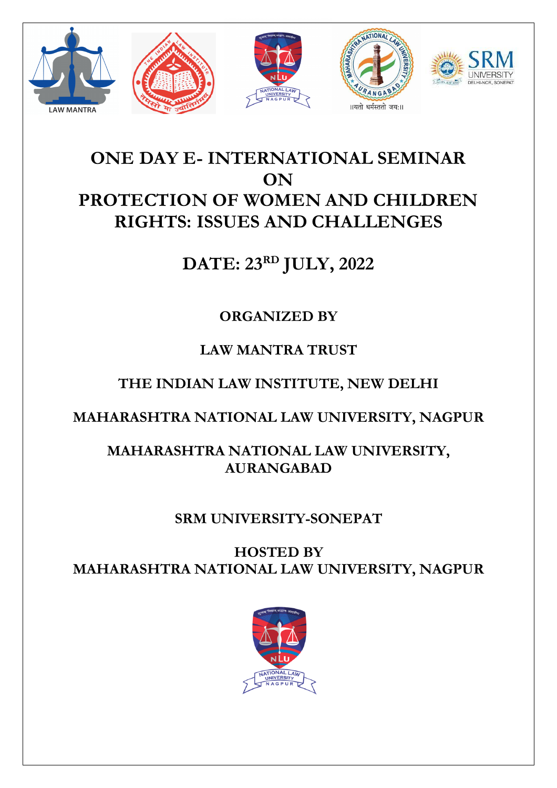

# **ONE DAY E- INTERNATIONAL SEMINAR ON PROTECTION OF WOMEN AND CHILDREN RIGHTS: ISSUES AND CHALLENGES**

# **DATE: 23RD JULY, 2022**

# **ORGANIZED BY**

# **LAW MANTRA TRUST**

# **THE INDIAN LAW INSTITUTE, NEW DELHI**

# **MAHARASHTRA NATIONAL LAW UNIVERSITY, NAGPUR**

## **MAHARASHTRA NATIONAL LAW UNIVERSITY, AURANGABAD**

### **SRM UNIVERSITY-SONEPAT**

**HOSTED BY MAHARASHTRA NATIONAL LAW UNIVERSITY, NAGPUR**

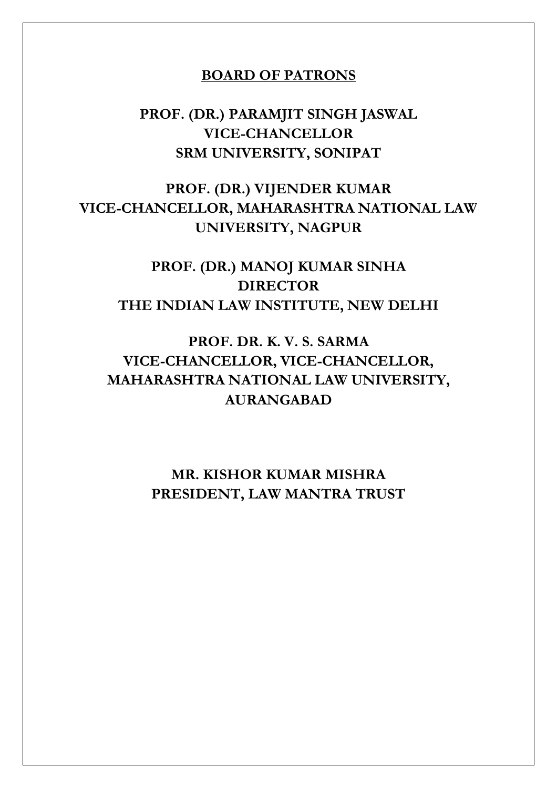#### **BOARD OF PATRONS**

### **PROF. (DR.) PARAMJIT SINGH JASWAL VICE-CHANCELLOR SRM UNIVERSITY, SONIPAT**

### **PROF. (DR.) VIJENDER KUMAR VICE-CHANCELLOR, MAHARASHTRA NATIONAL LAW UNIVERSITY, NAGPUR**

**PROF. (DR.) MANOJ KUMAR SINHA DIRECTOR THE INDIAN LAW INSTITUTE, NEW DELHI**

### **PROF. DR. K. V. S. SARMA VICE-CHANCELLOR, VICE-CHANCELLOR, MAHARASHTRA NATIONAL LAW UNIVERSITY, AURANGABAD**

### **MR. KISHOR KUMAR MISHRA PRESIDENT, LAW MANTRA TRUST**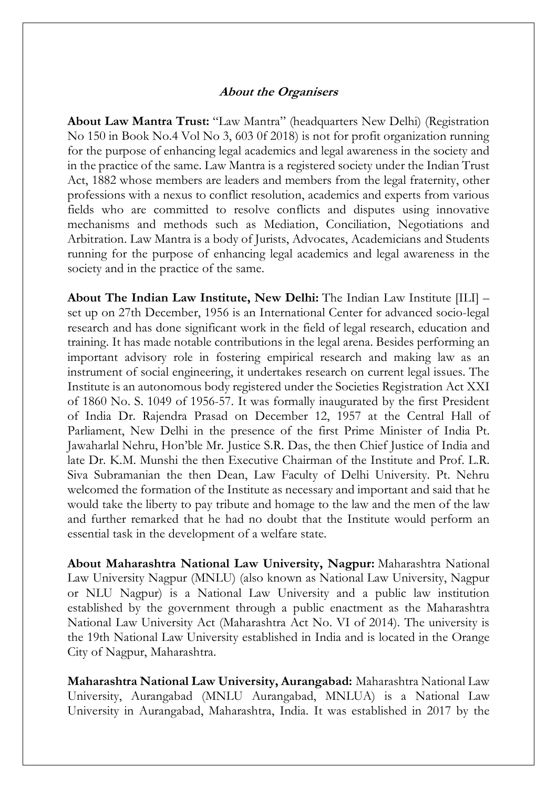#### **About the Organisers**

**About Law Mantra Trust:** "Law Mantra" (headquarters New Delhi) (Registration No 150 in Book No.4 Vol No 3, 603 0f 2018) is not for profit organization running for the purpose of enhancing legal academics and legal awareness in the society and in the practice of the same. Law Mantra is a registered society under the Indian Trust Act, 1882 whose members are leaders and members from the legal fraternity, other professions with a nexus to conflict resolution, academics and experts from various fields who are committed to resolve conflicts and disputes using innovative mechanisms and methods such as Mediation, Conciliation, Negotiations and Arbitration. Law Mantra is a body of Jurists, Advocates, Academicians and Students running for the purpose of enhancing legal academics and legal awareness in the society and in the practice of the same.

**About The Indian Law Institute, New Delhi:** The Indian Law Institute [ILI] – set up on 27th December, 1956 is an International Center for advanced socio-legal research and has done significant work in the field of legal research, education and training. It has made notable contributions in the legal arena. Besides performing an important advisory role in fostering empirical research and making law as an instrument of social engineering, it undertakes research on current legal issues. The Institute is an autonomous body registered under the Societies Registration Act XXI of 1860 No. S. 1049 of 1956-57. It was formally inaugurated by the first President of India Dr. Rajendra Prasad on December 12, 1957 at the Central Hall of Parliament, New Delhi in the presence of the first Prime Minister of India Pt. Jawaharlal Nehru, Hon'ble Mr. Justice S.R. Das, the then Chief Justice of India and late Dr. K.M. Munshi the then Executive Chairman of the Institute and Prof. L.R. Siva Subramanian the then Dean, Law Faculty of Delhi University. Pt. Nehru welcomed the formation of the Institute as necessary and important and said that he would take the liberty to pay tribute and homage to the law and the men of the law and further remarked that he had no doubt that the Institute would perform an essential task in the development of a welfare state.

**About Maharashtra National Law University, Nagpur:** Maharashtra National Law University Nagpur (MNLU) (also known as National Law University, Nagpur or NLU Nagpur) is a National Law University and a public law institution established by the government through a public enactment as the Maharashtra National Law University Act (Maharashtra Act No. VI of 2014). The university is the 19th National Law University established in India and is located in the Orange City of Nagpur, Maharashtra.

**Maharashtra National Law University, Aurangabad:** Maharashtra National Law University, Aurangabad (MNLU Aurangabad, MNLUA) is a National Law University in Aurangabad, Maharashtra, India. It was established in 2017 by the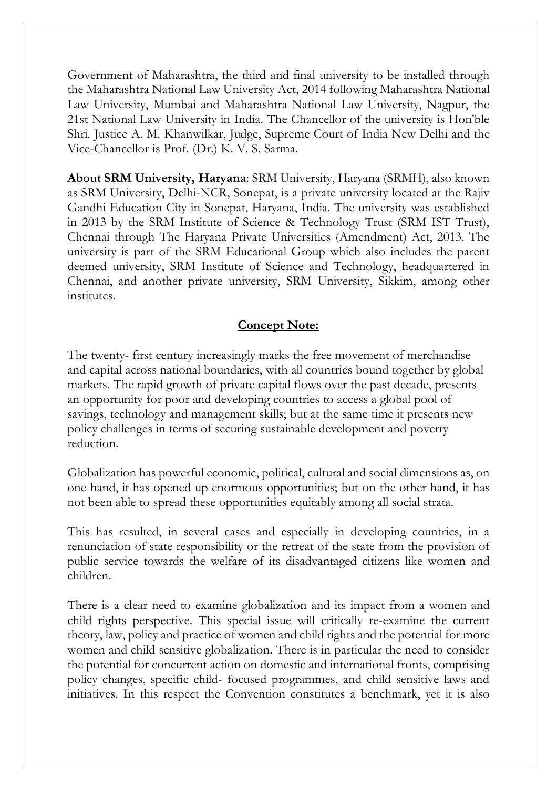Government of Maharashtra, the third and final university to be installed through the Maharashtra National Law University Act, 2014 following Maharashtra National Law University, Mumbai and Maharashtra National Law University, Nagpur, the 21st National Law University in India. The Chancellor of the university is Hon'ble Shri. Justice A. M. Khanwilkar, Judge, Supreme Court of India New Delhi and the Vice-Chancellor is Prof. (Dr.) K. V. S. Sarma.

**About SRM University, Haryana**: SRM University, Haryana (SRMH), also known as SRM University, Delhi-NCR, Sonepat, is a private university located at the Rajiv Gandhi Education City in Sonepat, Haryana, India. The university was established in 2013 by the SRM Institute of Science & Technology Trust (SRM IST Trust), Chennai through The Haryana Private Universities (Amendment) Act, 2013. The university is part of the SRM Educational Group which also includes the parent deemed university, SRM Institute of Science and Technology, headquartered in Chennai, and another private university, SRM University, Sikkim, among other institutes.

#### **Concept Note:**

The twenty- first century increasingly marks the free movement of merchandise and capital across national boundaries, with all countries bound together by global markets. The rapid growth of private capital flows over the past decade, presents an opportunity for poor and developing countries to access a global pool of savings, technology and management skills; but at the same time it presents new policy challenges in terms of securing sustainable development and poverty reduction.

Globalization has powerful economic, political, cultural and social dimensions as, on one hand, it has opened up enormous opportunities; but on the other hand, it has not been able to spread these opportunities equitably among all social strata.

This has resulted, in several cases and especially in developing countries, in a renunciation of state responsibility or the retreat of the state from the provision of public service towards the welfare of its disadvantaged citizens like women and children.

There is a clear need to examine globalization and its impact from a women and child rights perspective. This special issue will critically re-examine the current theory, law, policy and practice of women and child rights and the potential for more women and child sensitive globalization. There is in particular the need to consider the potential for concurrent action on domestic and international fronts, comprising policy changes, specific child- focused programmes, and child sensitive laws and initiatives. In this respect the Convention constitutes a benchmark, yet it is also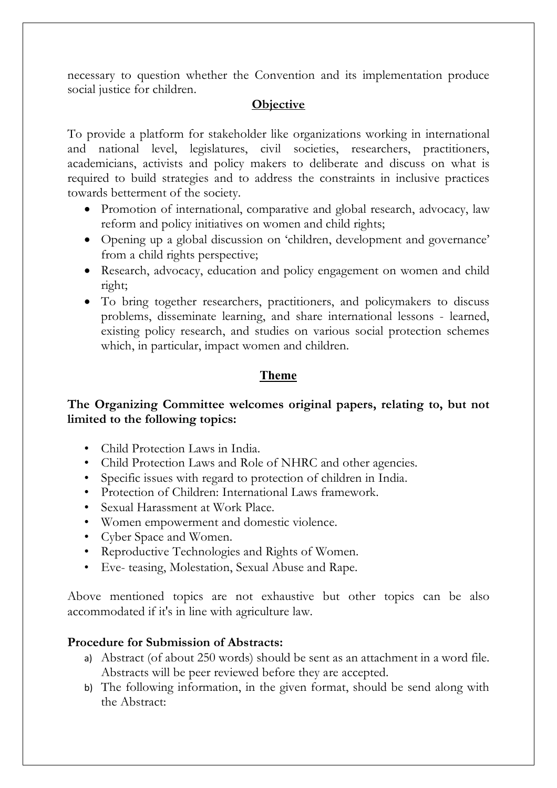necessary to question whether the Convention and its implementation produce social justice for children.

#### **Objective**

To provide a platform for stakeholder like organizations working in international and national level, legislatures, civil societies, researchers, practitioners, academicians, activists and policy makers to deliberate and discuss on what is required to build strategies and to address the constraints in inclusive practices towards betterment of the society.

- Promotion of international, comparative and global research, advocacy, law reform and policy initiatives on women and child rights;
- Opening up a global discussion on 'children, development and governance' from a child rights perspective;
- Research, advocacy, education and policy engagement on women and child right;
- To bring together researchers, practitioners, and policymakers to discuss problems, disseminate learning, and share international lessons - learned, existing policy research, and studies on various social protection schemes which, in particular, impact women and children.

#### **Theme**

#### **The Organizing Committee welcomes original papers, relating to, but not limited to the following topics:**

- Child Protection Laws in India.
- Child Protection Laws and Role of NHRC and other agencies.
- Specific issues with regard to protection of children in India.
- Protection of Children: International Laws framework.
- Sexual Harassment at Work Place.
- Women empowerment and domestic violence.
- Cyber Space and Women.
- Reproductive Technologies and Rights of Women.
- Eve- teasing, Molestation, Sexual Abuse and Rape.

Above mentioned topics are not exhaustive but other topics can be also accommodated if it's in line with agriculture law.

#### **Procedure for Submission of Abstracts:**

- a) Abstract (of about 250 words) should be sent as an attachment in a word file. Abstracts will be peer reviewed before they are accepted.
- b) The following information, in the given format, should be send along with the Abstract: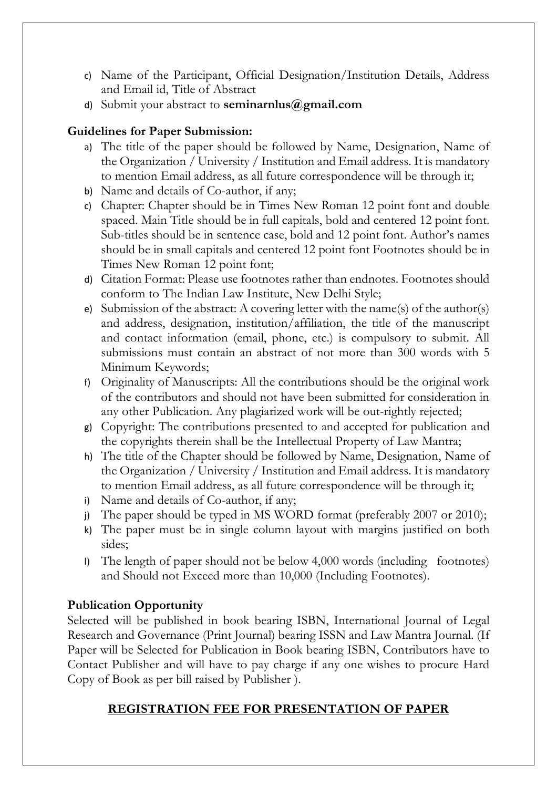- c) Name of the Participant, Official Designation/Institution Details, Address and Email id, Title of Abstract
- d) Submit your abstract to **seminarnlus@gmail.com**

#### **Guidelines for Paper Submission:**

- a) The title of the paper should be followed by Name, Designation, Name of the Organization / University / Institution and Email address. It is mandatory to mention Email address, as all future correspondence will be through it;
- b) Name and details of Co-author, if any;
- c) Chapter: Chapter should be in Times New Roman 12 point font and double spaced. Main Title should be in full capitals, bold and centered 12 point font. Sub-titles should be in sentence case, bold and 12 point font. Author's names should be in small capitals and centered 12 point font Footnotes should be in Times New Roman 12 point font;
- d) Citation Format: Please use footnotes rather than endnotes. Footnotes should conform to The Indian Law Institute, New Delhi Style;
- e) Submission of the abstract: A covering letter with the name(s) of the author(s) and address, designation, institution/affiliation, the title of the manuscript and contact information (email, phone, etc.) is compulsory to submit. All submissions must contain an abstract of not more than 300 words with 5 Minimum Keywords;
- f) Originality of Manuscripts: All the contributions should be the original work of the contributors and should not have been submitted for consideration in any other Publication. Any plagiarized work will be out-rightly rejected;
- g) Copyright: The contributions presented to and accepted for publication and the copyrights therein shall be the Intellectual Property of Law Mantra;
- h) The title of the Chapter should be followed by Name, Designation, Name of the Organization / University / Institution and Email address. It is mandatory to mention Email address, as all future correspondence will be through it;
- i) Name and details of Co-author, if any;
- j) The paper should be typed in MS WORD format (preferably 2007 or 2010);
- k) The paper must be in single column layout with margins justified on both sides;
- l) The length of paper should not be below 4,000 words (including footnotes) and Should not Exceed more than 10,000 (Including Footnotes).

#### **Publication Opportunity**

Selected will be published in book bearing ISBN, International Journal of Legal Research and Governance (Print Journal) bearing ISSN and Law Mantra Journal. (If Paper will be Selected for Publication in Book bearing ISBN, Contributors have to Contact Publisher and will have to pay charge if any one wishes to procure Hard Copy of Book as per bill raised by Publisher ).

#### **REGISTRATION FEE FOR PRESENTATION OF PAPER**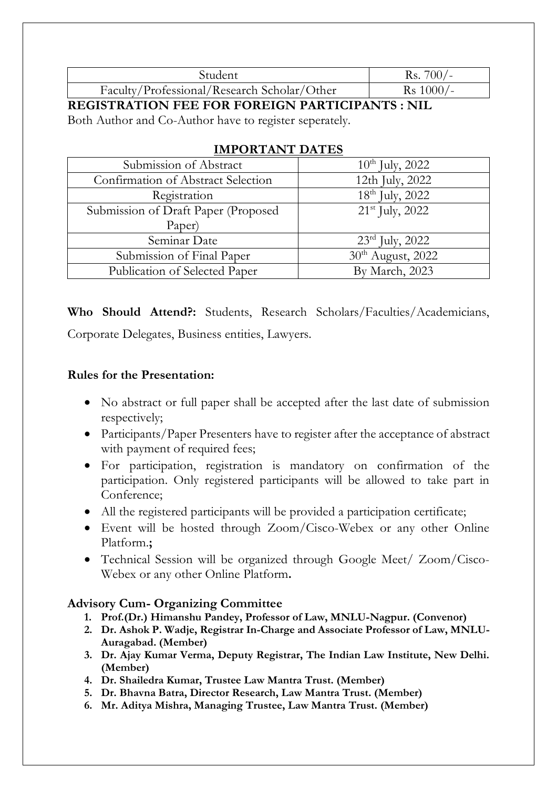| Student                                     | Rs. $700/-$         |
|---------------------------------------------|---------------------|
| Faculty/Professional/Research Scholar/Other | $\text{Rs } 1000/-$ |

**REGISTRATION FEE FOR FOREIGN PARTICIPANTS : NIL**

Both Author and Co-Author have to register seperately.

| Submission of Abstract              | $10^{th}$ July, 2022          |
|-------------------------------------|-------------------------------|
| Confirmation of Abstract Selection  | 12th July, 2022               |
| Registration                        | 18 <sup>th</sup> July, 2022   |
| Submission of Draft Paper (Proposed | $21st$ July, 2022             |
| Paper)                              |                               |
| Seminar Date                        | $23rd$ July, 2022             |
| Submission of Final Paper           | 30 <sup>th</sup> August, 2022 |
| Publication of Selected Paper       | By March, 2023                |

#### **IMPORTANT DATES**

**Who Should Attend?:** Students, Research Scholars/Faculties/Academicians, Corporate Delegates, Business entities, Lawyers.

#### **Rules for the Presentation:**

- No abstract or full paper shall be accepted after the last date of submission respectively;
- Participants/Paper Presenters have to register after the acceptance of abstract with payment of required fees;
- For participation, registration is mandatory on confirmation of the participation. Only registered participants will be allowed to take part in Conference;
- All the registered participants will be provided a participation certificate;
- Event will be hosted through Zoom/Cisco-Webex or any other Online Platform.**;**
- Technical Session will be organized through Google Meet/ Zoom/Cisco-Webex or any other Online Platform**.**

#### **Advisory Cum- Organizing Committee**

- **1. Prof.(Dr.) Himanshu Pandey, Professor of Law, MNLU-Nagpur. (Convenor)**
- **2. Dr. Ashok P. Wadje, Registrar In-Charge and Associate Professor of Law, MNLU-Auragabad. (Member)**
- **3. Dr. Ajay Kumar Verma, Deputy Registrar, The Indian Law Institute, New Delhi. (Member)**
- **4. Dr. Shailedra Kumar, Trustee Law Mantra Trust. (Member)**
- **5. Dr. Bhavna Batra, Director Research, Law Mantra Trust. (Member)**
- **6. Mr. Aditya Mishra, Managing Trustee, Law Mantra Trust. (Member)**